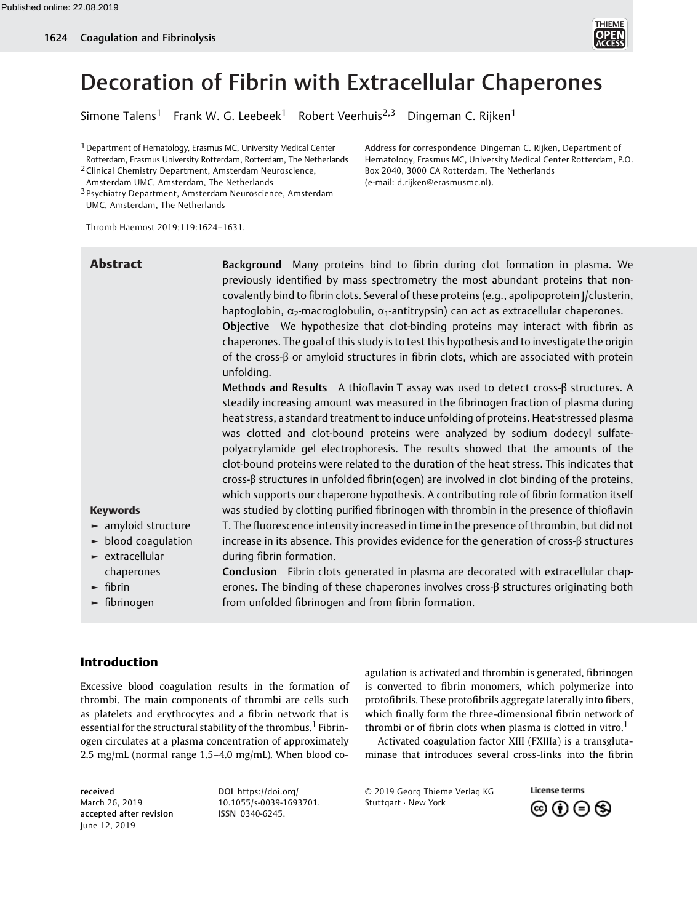

# Decoration of Fibrin with Extracellular Chaperones

Simone Talens<sup>1</sup> Frank W. G. Leebeek<sup>1</sup> Robert Veerhuis<sup>2,3</sup> Dingeman C. Rijken<sup>1</sup>

1Department of Hematology, Erasmus MC, University Medical Center Rotterdam, Erasmus University Rotterdam, Rotterdam, The Netherlands

2Clinical Chemistry Department, Amsterdam Neuroscience, Amsterdam UMC, Amsterdam, The Netherlands

3 Psychiatry Department, Amsterdam Neuroscience, Amsterdam UMC, Amsterdam, The Netherlands

Thromb Haemost 2019;119:1624–1631.

Address for correspondence Dingeman C. Rijken, Department of Hematology, Erasmus MC, University Medical Center Rotterdam, P.O. Box 2040, 3000 CA Rotterdam, The Netherlands (e-mail: [d.rijken@erasmusmc.nl](mailto:d.rijken@erasmusmc.nl)).

| <b>Abstract</b>                                                                                                                                                                                                                | Background Many proteins bind to fibrin during clot formation in plasma. We<br>previously identified by mass spectrometry the most abundant proteins that non-<br>covalently bind to fibrin clots. Several of these proteins (e.g., apolipoprotein J/clusterin,<br>haptoglobin, $\alpha_2$ -macroglobulin, $\alpha_1$ -antitrypsin) can act as extracellular chaperones.<br>Objective We hypothesize that clot-binding proteins may interact with fibrin as<br>chaperones. The goal of this study is to test this hypothesis and to investigate the origin<br>of the cross- $\beta$ or amyloid structures in fibrin clots, which are associated with protein<br>unfolding.                                                                                                                                                                                                                                                                                                                                                                                                                                                                                                                                                                                                                  |
|--------------------------------------------------------------------------------------------------------------------------------------------------------------------------------------------------------------------------------|---------------------------------------------------------------------------------------------------------------------------------------------------------------------------------------------------------------------------------------------------------------------------------------------------------------------------------------------------------------------------------------------------------------------------------------------------------------------------------------------------------------------------------------------------------------------------------------------------------------------------------------------------------------------------------------------------------------------------------------------------------------------------------------------------------------------------------------------------------------------------------------------------------------------------------------------------------------------------------------------------------------------------------------------------------------------------------------------------------------------------------------------------------------------------------------------------------------------------------------------------------------------------------------------|
| <b>Keywords</b><br>$\blacktriangleright$ amyloid structure<br>$\blacktriangleright$ blood coaqulation<br>$\blacktriangleright$ extracellular<br>chaperones<br>$\blacktriangleright$ fibrin<br>$\blacktriangleright$ fibrinogen | Methods and Results A thioflavin T assay was used to detect cross- $\beta$ structures. A<br>steadily increasing amount was measured in the fibrinogen fraction of plasma during<br>heat stress, a standard treatment to induce unfolding of proteins. Heat-stressed plasma<br>was clotted and clot-bound proteins were analyzed by sodium dodecyl sulfate-<br>polyacrylamide gel electrophoresis. The results showed that the amounts of the<br>clot-bound proteins were related to the duration of the heat stress. This indicates that<br>cross-ß structures in unfolded fibrin(ogen) are involved in clot binding of the proteins,<br>which supports our chaperone hypothesis. A contributing role of fibrin formation itself<br>was studied by clotting purified fibrinogen with thrombin in the presence of thioflavin<br>T. The fluorescence intensity increased in time in the presence of thrombin, but did not<br>increase in its absence. This provides evidence for the generation of cross-ß structures<br>during fibrin formation.<br>Conclusion Fibrin clots generated in plasma are decorated with extracellular chap-<br>erones. The binding of these chaperones involves cross- $\beta$ structures originating both<br>from unfolded fibrinogen and from fibrin formation. |
|                                                                                                                                                                                                                                |                                                                                                                                                                                                                                                                                                                                                                                                                                                                                                                                                                                                                                                                                                                                                                                                                                                                                                                                                                                                                                                                                                                                                                                                                                                                                             |

# Introduction

Excessive blood coagulation results in the formation of thrombi. The main components of thrombi are cells such as platelets and erythrocytes and a fibrin network that is essential for the structural stability of the thrombus.<sup>1</sup> Fibrinogen circulates at a plasma concentration of approximately 2.5 mg/mL (normal range 1.5–4.0 mg/mL). When blood co-

received March 26, 2019 accepted after revision June 12, 2019

DOI [https://doi.org/](https://doi.org/10.1055/s-0039-1693701) [10.1055/s-0039-1693701](https://doi.org/10.1055/s-0039-1693701). ISSN 0340-6245.

agulation is activated and thrombin is generated, fibrinogen is converted to fibrin monomers, which polymerize into protofibrils. These protofibrils aggregate laterally into fibers, which finally form the three-dimensional fibrin network of thrombi or of fibrin clots when plasma is clotted in vitro.<sup>1</sup>

Activated coagulation factor XIII (FXIIIa) is a transglutaminase that introduces several cross-links into the fibrin

© 2019 Georg Thieme Verlag KG Stuttgart · New York

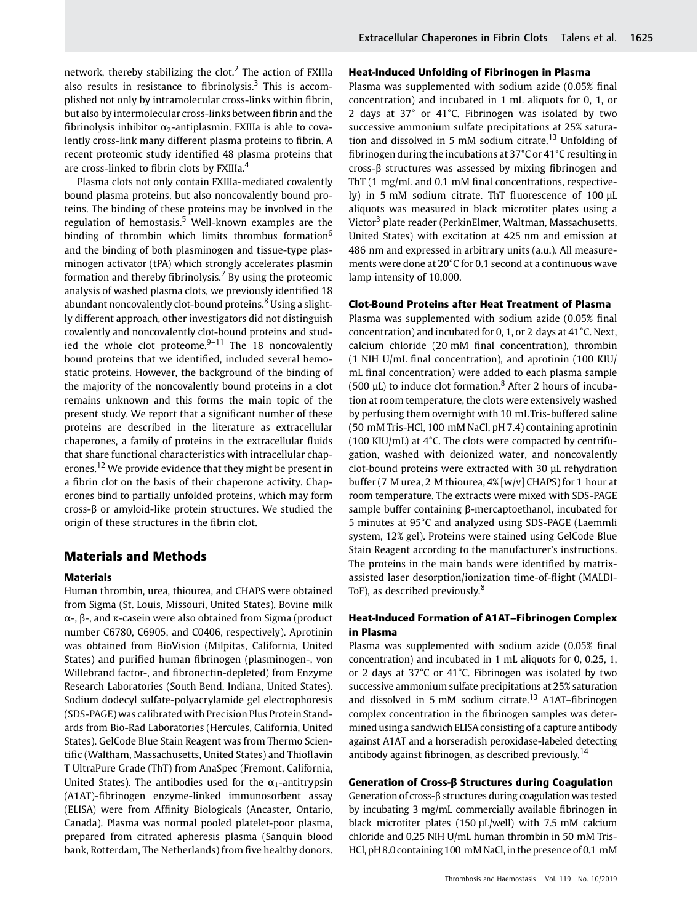network, thereby stabilizing the clot.<sup>2</sup> The action of FXIIIa also results in resistance to fibrinolysis.<sup>3</sup> This is accomplished not only by intramolecular cross-links within fibrin, but also by intermolecular cross-links between fibrin and the fibrinolysis inhibitor  $\alpha_2$ -antiplasmin. FXIIIa is able to covalently cross-link many different plasma proteins to fibrin. A recent proteomic study identified 48 plasma proteins that are cross-linked to fibrin clots by FXIIIa.<sup>4</sup>

Plasma clots not only contain FXIIIa-mediated covalently bound plasma proteins, but also noncovalently bound proteins. The binding of these proteins may be involved in the regulation of hemostasis.<sup>5</sup> Well-known examples are the binding of thrombin which limits thrombus formation<sup>6</sup> and the binding of both plasminogen and tissue-type plasminogen activator (tPA) which strongly accelerates plasmin formation and thereby fibrinolysis.<sup>7</sup> By using the proteomic analysis of washed plasma clots, we previously identified 18 abundant noncovalently clot-bound proteins.<sup>8</sup> Using a slightly different approach, other investigators did not distinguish covalently and noncovalently clot-bound proteins and studied the whole clot proteome. $9-11$  The 18 noncovalently bound proteins that we identified, included several hemostatic proteins. However, the background of the binding of the majority of the noncovalently bound proteins in a clot remains unknown and this forms the main topic of the present study. We report that a significant number of these proteins are described in the literature as extracellular chaperones, a family of proteins in the extracellular fluids that share functional characteristics with intracellular chaperones.<sup>12</sup> We provide evidence that they might be present in a fibrin clot on the basis of their chaperone activity. Chaperones bind to partially unfolded proteins, which may form cross-β or amyloid-like protein structures. We studied the origin of these structures in the fibrin clot.

# Materials and Methods

#### Materials

Human thrombin, urea, thiourea, and CHAPS were obtained from Sigma (St. Louis, Missouri, United States). Bovine milk α-, β-, and κ-casein were also obtained from Sigma (product number C6780, C6905, and C0406, respectively). Aprotinin was obtained from BioVision (Milpitas, California, United States) and purified human fibrinogen (plasminogen-, von Willebrand factor-, and fibronectin-depleted) from Enzyme Research Laboratories (South Bend, Indiana, United States). Sodium dodecyl sulfate-polyacrylamide gel electrophoresis (SDS-PAGE) was calibrated with Precision Plus Protein Standards from Bio-Rad Laboratories (Hercules, California, United States). GelCode Blue Stain Reagent was from Thermo Scientific (Waltham, Massachusetts, United States) and Thioflavin T UltraPure Grade (ThT) from AnaSpec (Fremont, California, United States). The antibodies used for the  $\alpha_1$ -antitrypsin (A1AT)-fibrinogen enzyme-linked immunosorbent assay (ELISA) were from Affinity Biologicals (Ancaster, Ontario, Canada). Plasma was normal pooled platelet-poor plasma, prepared from citrated apheresis plasma (Sanquin blood bank, Rotterdam, The Netherlands) from five healthy donors.

### Heat-Induced Unfolding of Fibrinogen in Plasma

Plasma was supplemented with sodium azide (0.05% final concentration) and incubated in 1 mL aliquots for 0, 1, or 2 days at 37° or 41°C. Fibrinogen was isolated by two successive ammonium sulfate precipitations at 25% saturation and dissolved in 5 mM sodium citrate.<sup>13</sup> Unfolding of fibrinogen during the incubations at 37°C or 41°C resulting in cross-β structures was assessed by mixing fibrinogen and ThT (1 mg/mL and 0.1 mM final concentrations, respectively) in 5 mM sodium citrate. ThT fluorescence of 100 μL aliquots was measured in black microtiter plates using a Victor<sup>3</sup> plate reader (PerkinElmer, Waltman, Massachusetts, United States) with excitation at 425 nm and emission at 486 nm and expressed in arbitrary units (a.u.). All measurements were done at 20°C for 0.1 second at a continuous wave lamp intensity of 10,000.

#### Clot-Bound Proteins after Heat Treatment of Plasma

Plasma was supplemented with sodium azide (0.05% final concentration) and incubated for 0, 1, or 2 days at 41°C. Next, calcium chloride (20 mM final concentration), thrombin (1 NIH U/mL final concentration), and aprotinin (100 KIU/ mL final concentration) were added to each plasma sample (500  $\mu$ L) to induce clot formation.<sup>8</sup> After 2 hours of incubation at room temperature, the clots were extensively washed by perfusing them overnight with 10 mL Tris-buffered saline (50 mM Tris-HCl, 100 mM NaCl, pH 7.4) containing aprotinin (100 KIU/mL) at 4°C. The clots were compacted by centrifugation, washed with deionized water, and noncovalently clot-bound proteins were extracted with 30 µL rehydration buffer (7 M urea, 2 M thiourea, 4% [w/v] CHAPS) for 1 hour at room temperature. The extracts were mixed with SDS-PAGE sample buffer containing β-mercaptoethanol, incubated for 5 minutes at 95°C and analyzed using SDS-PAGE (Laemmli system, 12% gel). Proteins were stained using GelCode Blue Stain Reagent according to the manufacturer's instructions. The proteins in the main bands were identified by matrixassisted laser desorption/ionization time-of-flight (MALDI-ToF), as described previously.<sup>8</sup>

### Heat-Induced Formation of A1AT–Fibrinogen Complex in Plasma

Plasma was supplemented with sodium azide (0.05% final concentration) and incubated in 1 mL aliquots for 0, 0.25, 1, or 2 days at 37°C or 41°C. Fibrinogen was isolated by two successive ammonium sulfate precipitations at 25% saturation and dissolved in 5 mM sodium citrate.<sup>13</sup> A1AT–fibrinogen complex concentration in the fibrinogen samples was determined using a sandwich ELISA consisting of a capture antibody against A1AT and a horseradish peroxidase-labeled detecting antibody against fibrinogen, as described previously.<sup>14</sup>

# Generation of Cross-β Structures during Coagulation

Generation of cross-β structures during coagulation was tested by incubating 3 mg/mL commercially available fibrinogen in black microtiter plates (150 μL/well) with 7.5 mM calcium chloride and 0.25 NIH U/mL human thrombin in 50 mM Tris-HCl, pH 8.0 containing 100 mM NaCl, in the presence of 0.1 mM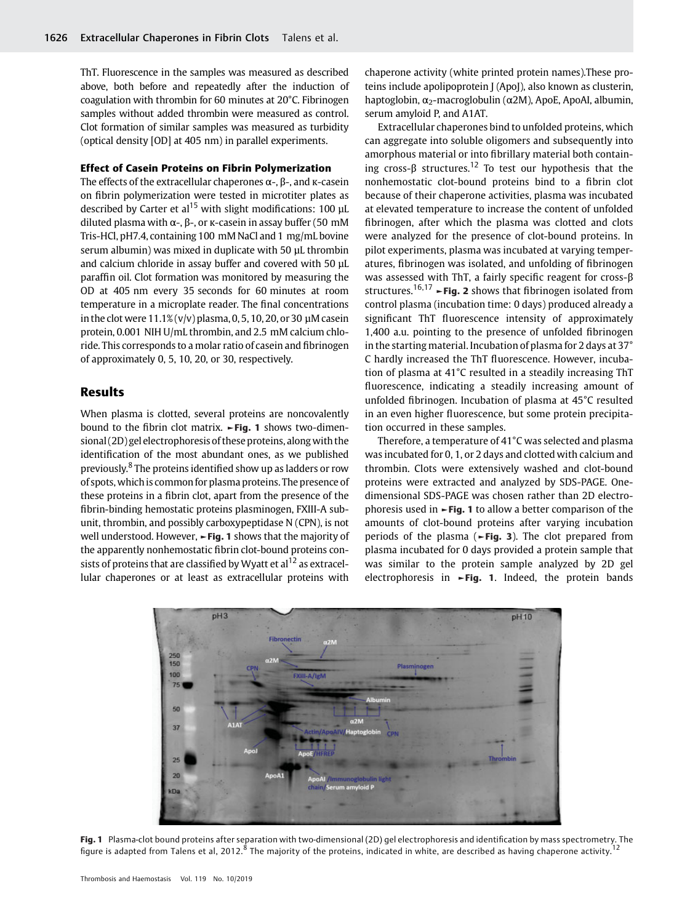ThT. Fluorescence in the samples was measured as described above, both before and repeatedly after the induction of coagulation with thrombin for 60 minutes at 20°C. Fibrinogen samples without added thrombin were measured as control. Clot formation of similar samples was measured as turbidity (optical density [OD] at 405 nm) in parallel experiments.

#### Effect of Casein Proteins on Fibrin Polymerization

The effects of the extracellular chaperones  $\alpha$ -,  $\beta$ -, and κ-casein on fibrin polymerization were tested in microtiter plates as described by Carter et al<sup>15</sup> with slight modifications: 100  $\mu$ L diluted plasma with α-, β-, or κ-casein in assay buffer (50 mM Tris-HCl, pH7.4, containing 100 mM NaCl and 1 mg/mL bovine serum albumin) was mixed in duplicate with 50 µL thrombin and calcium chloride in assay buffer and covered with 50 µL paraffin oil. Clot formation was monitored by measuring the OD at 405 nm every 35 seconds for 60 minutes at room temperature in a microplate reader. The final concentrations in the clot were  $11.1\%$  (v/v) plasma, 0, 5, 10, 20, or 30 µM casein protein, 0.001 NIH U/mL thrombin, and 2.5 mM calcium chloride. This corresponds to a molar ratio of casein and fibrinogen of approximately 0, 5, 10, 20, or 30, respectively.

# Results

When plasma is clotted, several proteins are noncovalently bound to the fibrin clot matrix. ►Fig. 1 shows two-dimensional (2D) gel electrophoresis of these proteins, along with the identification of the most abundant ones, as we published previously.<sup>8</sup> The proteins identified show up as ladders or row of spots, whichis common for plasma proteins. The presence of these proteins in a fibrin clot, apart from the presence of the fibrin-binding hemostatic proteins plasminogen, FXIII-A subunit, thrombin, and possibly carboxypeptidase N (CPN), is not well understood. However, ►Fig. 1 shows that the majority of the apparently nonhemostatic fibrin clot-bound proteins consists of proteins that are classified by Wyatt et al<sup>12</sup> as extracellular chaperones or at least as extracellular proteins with

chaperone activity (white printed protein names).These proteins include apolipoprotein J (ApoJ), also known as clusterin, haptoglobin,  $\alpha_2$ -macroglobulin (α2M), ApoE, ApoAI, albumin, serum amyloid P, and A1AT.

Extracellular chaperones bind to unfolded proteins, which can aggregate into soluble oligomers and subsequently into amorphous material or into fibrillary material both containing cross- $\beta$  structures.<sup>12</sup> To test our hypothesis that the nonhemostatic clot-bound proteins bind to a fibrin clot because of their chaperone activities, plasma was incubated at elevated temperature to increase the content of unfolded fibrinogen, after which the plasma was clotted and clots were analyzed for the presence of clot-bound proteins. In pilot experiments, plasma was incubated at varying temperatures, fibrinogen was isolated, and unfolding of fibrinogen was assessed with ThT, a fairly specific reagent for cross-β structures.<sup>16,17</sup>  $\rightarrow$  Fig. 2 shows that fibrinogen isolated from control plasma (incubation time: 0 days) produced already a significant ThT fluorescence intensity of approximately 1,400 a.u. pointing to the presence of unfolded fibrinogen in the starting material. Incubation of plasma for 2 days at 37° C hardly increased the ThT fluorescence. However, incubation of plasma at 41°C resulted in a steadily increasing ThT fluorescence, indicating a steadily increasing amount of unfolded fibrinogen. Incubation of plasma at 45°C resulted in an even higher fluorescence, but some protein precipitation occurred in these samples.

Therefore, a temperature of 41°C was selected and plasma was incubated for 0, 1, or 2 days and clotted with calcium and thrombin. Clots were extensively washed and clot-bound proteins were extracted and analyzed by SDS-PAGE. Onedimensional SDS-PAGE was chosen rather than 2D electrophoresis used in  $\blacktriangleright$  Fig. 1 to allow a better comparison of the amounts of clot-bound proteins after varying incubation periods of the plasma (►Fig. 3). The clot prepared from plasma incubated for 0 days provided a protein sample that was similar to the protein sample analyzed by 2D gel electrophoresis in ►Fig. 1. Indeed, the protein bands



Fig. 1 Plasma-clot bound proteins after separation with two-dimensional (2D) gel electrophoresis and identification by mass spectrometry. The figure is adapted from Talens et al, 2012.<sup>8</sup> The majority of the proteins, indicated in white, are described as having chaperone activity.<sup>12</sup>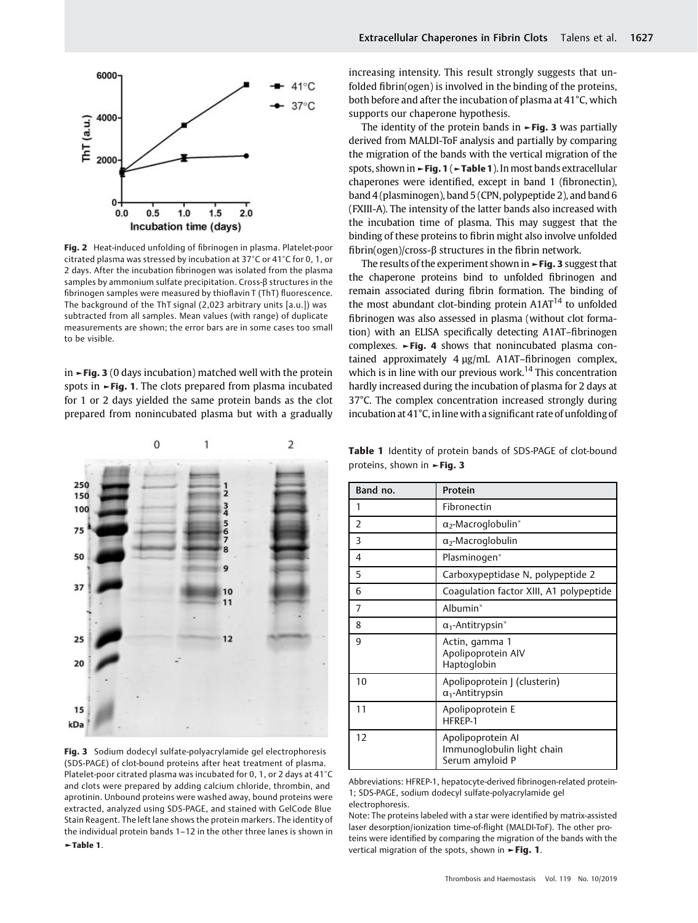

Fig. 2 Heat-induced unfolding of fibrinogen in plasma. Platelet-poor citrated plasma was stressed by incubation at 37°C or 41°C for 0, 1, or 2 days. After the incubation fibrinogen was isolated from the plasma samples by ammonium sulfate precipitation. Cross-β structures in the fibrinogen samples were measured by thioflavin T (ThT) fluorescence. The background of the ThT signal (2,023 arbitrary units [a.u.]) was subtracted from all samples. Mean values (with range) of duplicate measurements are shown; the error bars are in some cases too small to be visible.

in  $\blacktriangleright$  Fig. 3 (0 days incubation) matched well with the protein spots in ►Fig. 1. The clots prepared from plasma incubated for 1 or 2 days yielded the same protein bands as the clot prepared from nonincubated plasma but with a gradually



Fig. 3 Sodium dodecyl sulfate-polyacrylamide gel electrophoresis (SDS-PAGE) of clot-bound proteins after heat treatment of plasma. Platelet-poor citrated plasma was incubated for 0, 1, or 2 days at 41°C and clots were prepared by adding calcium chloride, thrombin, and aprotinin. Unbound proteins were washed away, bound proteins were extracted, analyzed using SDS-PAGE, and stained with GelCode Blue Stain Reagent. The left lane shows the protein markers. The identity of the individual protein bands 1–12 in the other three lanes is shown in ►Table 1.

increasing intensity. This result strongly suggests that unfolded fibrin(ogen) is involved in the binding of the proteins, both before and after the incubation of plasma at 41°C, which supports our chaperone hypothesis.

The identity of the protein bands in  $\blacktriangleright$  Fig. 3 was partially derived from MALDI-ToF analysis and partially by comparing the migration of the bands with the vertical migration of the spots, shown in ►Fig. 1 (►Table 1). In most bands extracellular chaperones were identified, except in band 1 (fibronectin), band 4 (plasminogen), band 5 (CPN, polypeptide 2), and band 6 (FXIII-A). The intensity of the latter bands also increased with the incubation time of plasma. This may suggest that the binding of these proteins to fibrin might also involve unfolded fibrin(ogen)/cross-β structures in the fibrin network.

The results of the experiment shown in  $\blacktriangleright$  Fig. 3 suggest that the chaperone proteins bind to unfolded fibrinogen and remain associated during fibrin formation. The binding of the most abundant clot-binding protein  $A1AT^{14}$  to unfolded fibrinogen was also assessed in plasma (without clot formation) with an ELISA specifically detecting A1AT–fibrinogen complexes. ►Fig. 4 shows that nonincubated plasma contained approximately 4 μg/mL A1AT–fibrinogen complex, which is in line with our previous work.<sup>14</sup> This concentration hardly increased during the incubation of plasma for 2 days at 37°C. The complex concentration increased strongly during incubation at  $41^{\circ}$ C, in line with a significant rate of unfolding of

Table 1 Identity of protein bands of SDS-PAGE of clot-bound proteins, shown in ►Fig. 3

| Band no. | Protein                                                            |
|----------|--------------------------------------------------------------------|
| 1        | Fibronectin                                                        |
| 2        | $\alpha$ <sub>2</sub> -Macroglobulin <sup>*</sup>                  |
| 3        | $\alpha$ <sub>2</sub> -Macroglobulin                               |
| 4        | Plasminogen*                                                       |
| 5        | Carboxypeptidase N, polypeptide 2                                  |
| 6        | Coaqulation factor XIII, A1 polypeptide                            |
| 7        | Albumin*                                                           |
| 8        | $\alpha_1$ -Antitrypsin <sup>*</sup>                               |
| 9        | Actin, gamma 1<br>Apolipoprotein AIV<br>Haptoglobin                |
| 10       | Apolipoprotein   (clusterin)<br>$\alpha_1$ -Antitrypsin            |
| 11       | Apolipoprotein E<br>HFREP-1                                        |
| 12       | Apolipoprotein Al<br>Immunoglobulin light chain<br>Serum amyloid P |

Abbreviations: HFREP-1, hepatocyte-derived fibrinogen-related protein-1; SDS-PAGE, sodium dodecyl sulfate-polyacrylamide gel electrophoresis.

Note: The proteins labeled with a star were identified by matrix-assisted laser desorption/ionization time-of-flight (MALDI-ToF). The other proteins were identified by comparing the migration of the bands with the vertical migration of the spots, shown in ►Fig. 1.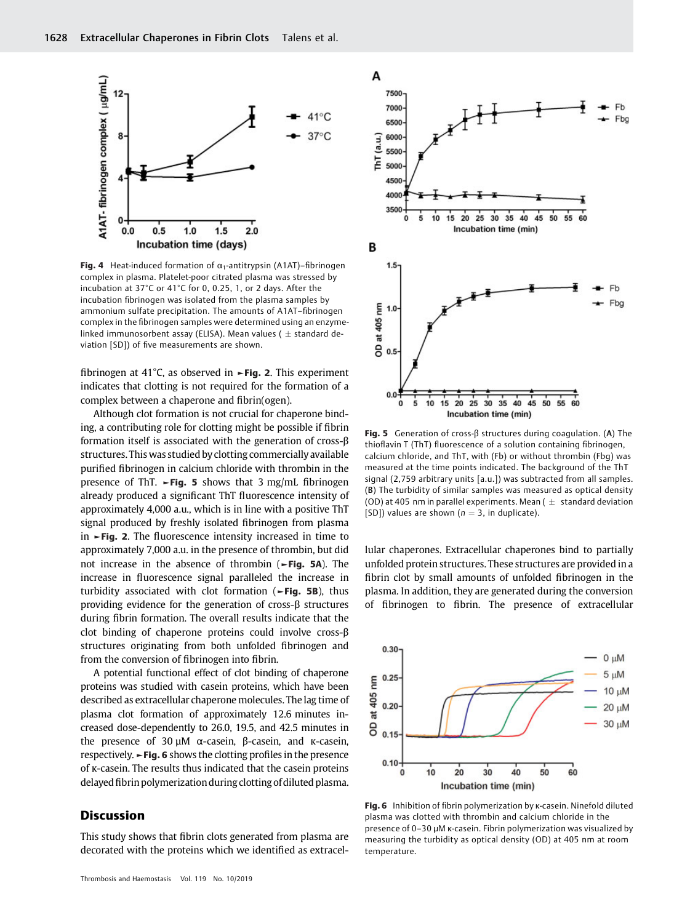

Fig. 4 Heat-induced formation of  $\alpha_1$ -antitrypsin (A1AT)–fibrinogen complex in plasma. Platelet-poor citrated plasma was stressed by incubation at 37°C or 41°C for 0, 0.25, 1, or 2 days. After the incubation fibrinogen was isolated from the plasma samples by ammonium sulfate precipitation. The amounts of A1AT–fibrinogen complex in the fibrinogen samples were determined using an enzymelinked immunosorbent assay (ELISA). Mean values ( $\pm$  standard deviation [SD]) of five measurements are shown.

fibrinogen at 41°C, as observed in  $\blacktriangleright$  Fig. 2. This experiment indicates that clotting is not required for the formation of a complex between a chaperone and fibrin(ogen).

Although clot formation is not crucial for chaperone binding, a contributing role for clotting might be possible if fibrin formation itself is associated with the generation of cross-β structures. This was studied by clotting commercially available purified fibrinogen in calcium chloride with thrombin in the presence of ThT.  $\blacktriangleright$  Fig. 5 shows that 3 mg/mL fibrinogen already produced a significant ThT fluorescence intensity of approximately 4,000 a.u., which is in line with a positive ThT signal produced by freshly isolated fibrinogen from plasma in ►Fig. 2. The fluorescence intensity increased in time to approximately 7,000 a.u. in the presence of thrombin, but did not increase in the absence of thrombin (►Fig. 5A). The increase in fluorescence signal paralleled the increase in turbidity associated with clot formation (►Fig. 5B), thus providing evidence for the generation of cross-β structures during fibrin formation. The overall results indicate that the clot binding of chaperone proteins could involve cross-β structures originating from both unfolded fibrinogen and from the conversion of fibrinogen into fibrin.

A potential functional effect of clot binding of chaperone proteins was studied with casein proteins, which have been described as extracellular chaperone molecules. The lag time of plasma clot formation of approximately 12.6 minutes increased dose-dependently to 26.0, 19.5, and 42.5 minutes in the presence of 30 µM α-casein, β-casein, and κ-casein, respectively. ►Fig. 6 shows the clotting profiles in the presence of κ-casein. The results thus indicated that the casein proteins delayed fibrin polymerization during clotting of diluted plasma.

# **Discussion**

This study shows that fibrin clots generated from plasma are decorated with the proteins which we identified as extracel-



Fig. 5 Generation of cross- $\beta$  structures during coagulation. (A) The thioflavin T (ThT) fluorescence of a solution containing fibrinogen, calcium chloride, and ThT, with (Fb) or without thrombin (Fbg) was measured at the time points indicated. The background of the ThT signal (2,759 arbitrary units [a.u.]) was subtracted from all samples. (B) The turbidity of similar samples was measured as optical density (OD) at 405 nm in parallel experiments. Mean ( $\pm$  standard deviation [SD]) values are shown ( $n = 3$ , in duplicate).

lular chaperones. Extracellular chaperones bind to partially unfolded protein structures. These structures are provided in a fibrin clot by small amounts of unfolded fibrinogen in the plasma. In addition, they are generated during the conversion of fibrinogen to fibrin. The presence of extracellular



Fig. 6 Inhibition of fibrin polymerization by κ-casein. Ninefold diluted plasma was clotted with thrombin and calcium chloride in the presence of 0–30 µM κ-casein. Fibrin polymerization was visualized by measuring the turbidity as optical density (OD) at 405 nm at room temperature.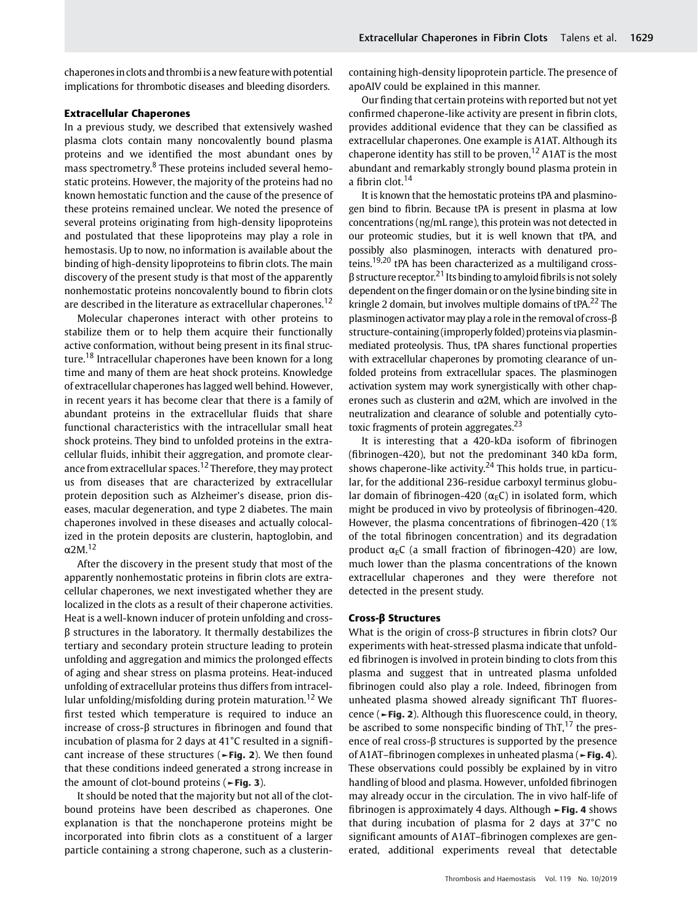chaperones in clots and thrombi is a new feature with potential implications for thrombotic diseases and bleeding disorders.

#### Extracellular Chaperones

In a previous study, we described that extensively washed plasma clots contain many noncovalently bound plasma proteins and we identified the most abundant ones by mass spectrometry.<sup>8</sup> These proteins included several hemostatic proteins. However, the majority of the proteins had no known hemostatic function and the cause of the presence of these proteins remained unclear. We noted the presence of several proteins originating from high-density lipoproteins and postulated that these lipoproteins may play a role in hemostasis. Up to now, no information is available about the binding of high-density lipoproteins to fibrin clots. The main discovery of the present study is that most of the apparently nonhemostatic proteins noncovalently bound to fibrin clots are described in the literature as extracellular chaperones.<sup>12</sup>

Molecular chaperones interact with other proteins to stabilize them or to help them acquire their functionally active conformation, without being present in its final structure.<sup>18</sup> Intracellular chaperones have been known for a long time and many of them are heat shock proteins. Knowledge of extracellular chaperones has lagged well behind. However, in recent years it has become clear that there is a family of abundant proteins in the extracellular fluids that share functional characteristics with the intracellular small heat shock proteins. They bind to unfolded proteins in the extracellular fluids, inhibit their aggregation, and promote clearance from extracellular spaces.<sup>12</sup> Therefore, they may protect us from diseases that are characterized by extracellular protein deposition such as Alzheimer's disease, prion diseases, macular degeneration, and type 2 diabetes. The main chaperones involved in these diseases and actually colocalized in the protein deposits are clusterin, haptoglobin, and  $\alpha$ 2M.<sup>12</sup>

After the discovery in the present study that most of the apparently nonhemostatic proteins in fibrin clots are extracellular chaperones, we next investigated whether they are localized in the clots as a result of their chaperone activities. Heat is a well-known inducer of protein unfolding and crossβ structures in the laboratory. It thermally destabilizes the tertiary and secondary protein structure leading to protein unfolding and aggregation and mimics the prolonged effects of aging and shear stress on plasma proteins. Heat-induced unfolding of extracellular proteins thus differs from intracellular unfolding/misfolding during protein maturation.<sup>12</sup> We first tested which temperature is required to induce an increase of cross-β structures in fibrinogen and found that incubation of plasma for 2 days at 41°C resulted in a significant increase of these structures (►Fig. 2). We then found that these conditions indeed generated a strong increase in the amount of clot-bound proteins (►Fig. 3).

It should be noted that the majority but not all of the clotbound proteins have been described as chaperones. One explanation is that the nonchaperone proteins might be incorporated into fibrin clots as a constituent of a larger particle containing a strong chaperone, such as a clusterincontaining high-density lipoprotein particle. The presence of apoAIV could be explained in this manner.

Our finding that certain proteins with reported but not yet confirmed chaperone-like activity are present in fibrin clots, provides additional evidence that they can be classified as extracellular chaperones. One example is A1AT. Although its chaperone identity has still to be proven,  $12$  A1AT is the most abundant and remarkably strongly bound plasma protein in a fibrin clot.<sup>14</sup>

It is known that the hemostatic proteins tPA and plasminogen bind to fibrin. Because tPA is present in plasma at low concentrations (ng/mL range), this protein was not detected in our proteomic studies, but it is well known that tPA, and possibly also plasminogen, interacts with denatured proteins.<sup>19,20</sup> tPA has been characterized as a multiligand cross- $\beta$  structure receptor.<sup>21</sup> Its binding to amyloid fibrils is not solely dependent on the finger domain or on the lysine binding site in kringle 2 domain, but involves multiple domains of  $P_{\rm A}$ <sup>22</sup> The plasminogen activator may play a role in the removal of cross-β structure-containing (improperly folded) proteins via plasminmediated proteolysis. Thus, tPA shares functional properties with extracellular chaperones by promoting clearance of unfolded proteins from extracellular spaces. The plasminogen activation system may work synergistically with other chaperones such as clusterin and  $\alpha$ 2M, which are involved in the neutralization and clearance of soluble and potentially cytotoxic fragments of protein aggregates.<sup>23</sup>

It is interesting that a 420-kDa isoform of fibrinogen (fibrinogen-420), but not the predominant 340 kDa form, shows chaperone-like activity.<sup>24</sup> This holds true, in particular, for the additional 236-residue carboxyl terminus globular domain of fibrinogen-420 ( $\alpha$ <sub>E</sub>C) in isolated form, which might be produced in vivo by proteolysis of fibrinogen-420. However, the plasma concentrations of fibrinogen-420 (1% of the total fibrinogen concentration) and its degradation product  $\alpha_F C$  (a small fraction of fibrinogen-420) are low, much lower than the plasma concentrations of the known extracellular chaperones and they were therefore not detected in the present study.

#### Cross-β Structures

What is the origin of cross-β structures in fibrin clots? Our experiments with heat-stressed plasma indicate that unfolded fibrinogen is involved in protein binding to clots from this plasma and suggest that in untreated plasma unfolded fibrinogen could also play a role. Indeed, fibrinogen from unheated plasma showed already significant ThT fluorescence (►Fig. 2). Although this fluorescence could, in theory, be ascribed to some nonspecific binding of ThT, $^{17}$  the presence of real cross-β structures is supported by the presence of A1AT-fibrinogen complexes in unheated plasma (►Fig. 4). These observations could possibly be explained by in vitro handling of blood and plasma. However, unfolded fibrinogen may already occur in the circulation. The in vivo half-life of fibrinogen is approximately 4 days. Although ►Fig. 4 shows that during incubation of plasma for 2 days at 37°C no significant amounts of A1AT–fibrinogen complexes are generated, additional experiments reveal that detectable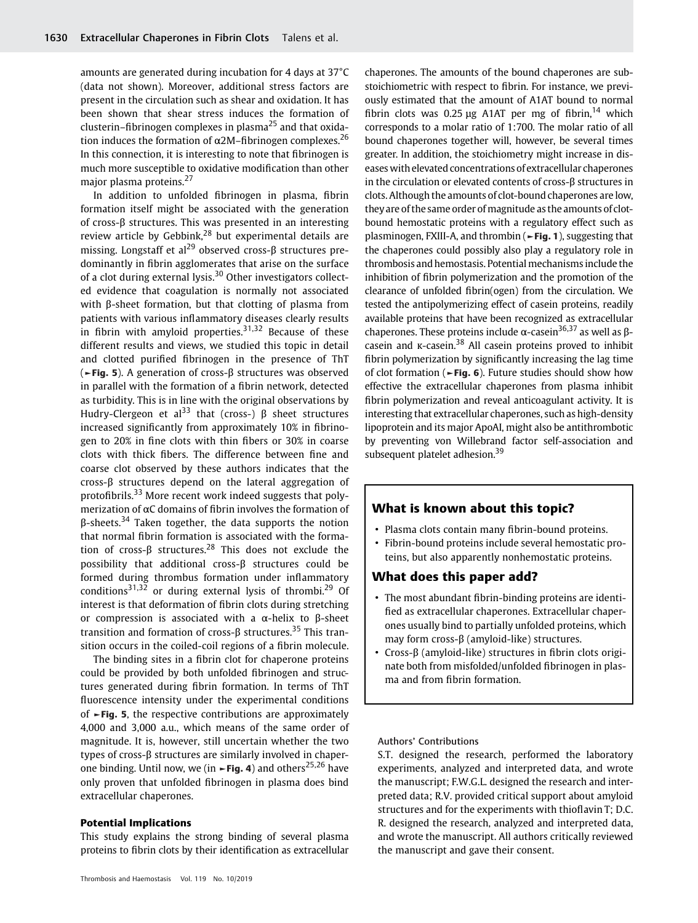amounts are generated during incubation for 4 days at 37°C (data not shown). Moreover, additional stress factors are present in the circulation such as shear and oxidation. It has been shown that shear stress induces the formation of clusterin–fibrinogen complexes in plasma $^{25}$  and that oxidation induces the formation of  $\alpha$ 2M–fibrinogen complexes.<sup>26</sup> In this connection, it is interesting to note that fibrinogen is much more susceptible to oxidative modification than other major plasma proteins.<sup>27</sup>

In addition to unfolded fibrinogen in plasma, fibrin formation itself might be associated with the generation of cross-β structures. This was presented in an interesting review article by Gebbink,<sup>28</sup> but experimental details are missing. Longstaff et al<sup>29</sup> observed cross- $\beta$  structures predominantly in fibrin agglomerates that arise on the surface of a clot during external lysis. $30$  Other investigators collected evidence that coagulation is normally not associated with β-sheet formation, but that clotting of plasma from patients with various inflammatory diseases clearly results in fibrin with amyloid properties.<sup>31,32</sup> Because of these different results and views, we studied this topic in detail and clotted purified fibrinogen in the presence of ThT (►Fig. 5). A generation of cross-β structures was observed in parallel with the formation of a fibrin network, detected as turbidity. This is in line with the original observations by Hudry-Clergeon et al<sup>33</sup> that (cross-)  $\beta$  sheet structures increased significantly from approximately 10% in fibrinogen to 20% in fine clots with thin fibers or 30% in coarse clots with thick fibers. The difference between fine and coarse clot observed by these authors indicates that the cross-β structures depend on the lateral aggregation of protofibrils.<sup>33</sup> More recent work indeed suggests that polymerization of αC domains of fibrin involves the formation of  $β$ -sheets.<sup>34</sup> Taken together, the data supports the notion that normal fibrin formation is associated with the formation of cross- $\beta$  structures.<sup>28</sup> This does not exclude the possibility that additional cross-β structures could be formed during thrombus formation under inflammatory conditions<sup>31,32</sup> or during external lysis of thrombi.<sup>29</sup> Of interest is that deformation of fibrin clots during stretching or compression is associated with a α-helix to β-sheet transition and formation of cross-β structures.<sup>35</sup> This transition occurs in the coiled-coil regions of a fibrin molecule.

The binding sites in a fibrin clot for chaperone proteins could be provided by both unfolded fibrinogen and structures generated during fibrin formation. In terms of ThT fluorescence intensity under the experimental conditions of ►Fig. 5, the respective contributions are approximately 4,000 and 3,000 a.u., which means of the same order of magnitude. It is, however, still uncertain whether the two types of cross-β structures are similarly involved in chaperone binding. Until now, we (in  $\sim$ Fig. 4) and others<sup>25,26</sup> have only proven that unfolded fibrinogen in plasma does bind extracellular chaperones.

#### Potential Implications

This study explains the strong binding of several plasma proteins to fibrin clots by their identification as extracellular chaperones. The amounts of the bound chaperones are substoichiometric with respect to fibrin. For instance, we previously estimated that the amount of A1AT bound to normal fibrin clots was 0.25 μg A1AT per mg of fibrin,<sup>14</sup> which corresponds to a molar ratio of 1:700. The molar ratio of all bound chaperones together will, however, be several times greater. In addition, the stoichiometry might increase in diseases with elevated concentrations of extracellular chaperones in the circulation or elevated contents of cross-β structures in clots. Although the amounts of clot-bound chaperones are low, they are of the same order of magnitude as the amounts of clotbound hemostatic proteins with a regulatory effect such as plasminogen, FXIII-A, and thrombin (►Fig. 1), suggesting that the chaperones could possibly also play a regulatory role in thrombosis and hemostasis. Potential mechanisms include the inhibition of fibrin polymerization and the promotion of the clearance of unfolded fibrin(ogen) from the circulation. We tested the antipolymerizing effect of casein proteins, readily available proteins that have been recognized as extracellular chaperones. These proteins include  $\alpha$ -casein<sup>36,37</sup> as well as βcasein and κ-casein.<sup>38</sup> All casein proteins proved to inhibit fibrin polymerization by significantly increasing the lag time of clot formation (►Fig. 6). Future studies should show how effective the extracellular chaperones from plasma inhibit fibrin polymerization and reveal anticoagulant activity. It is interesting that extracellular chaperones, such as high-density lipoprotein and its major ApoAI, might also be antithrombotic by preventing von Willebrand factor self-association and subsequent platelet adhesion.<sup>39</sup>

# What is known about this topic?

- Plasma clots contain many fibrin-bound proteins.
- Fibrin-bound proteins include several hemostatic proteins, but also apparently nonhemostatic proteins.

# What does this paper add?

- The most abundant fibrin-binding proteins are identified as extracellular chaperones. Extracellular chaperones usually bind to partially unfolded proteins, which may form cross-β (amyloid-like) structures.
- Cross-β (amyloid-like) structures in fibrin clots originate both from misfolded/unfolded fibrinogen in plasma and from fibrin formation.

Authors' Contributions

S.T. designed the research, performed the laboratory experiments, analyzed and interpreted data, and wrote the manuscript; F.W.G.L. designed the research and interpreted data; R.V. provided critical support about amyloid structures and for the experiments with thioflavin T; D.C. R. designed the research, analyzed and interpreted data, and wrote the manuscript. All authors critically reviewed the manuscript and gave their consent.